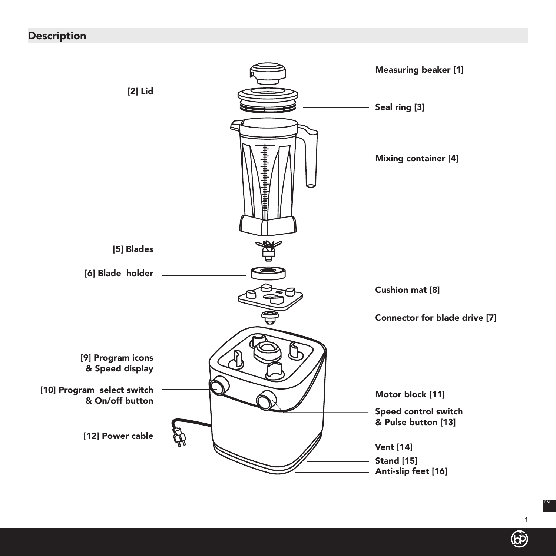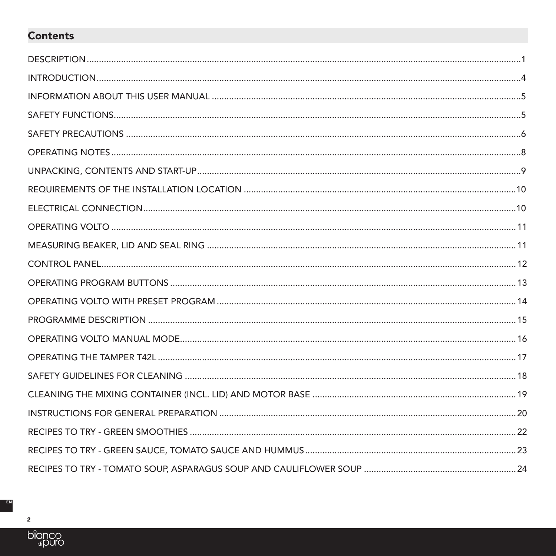# **Contents**

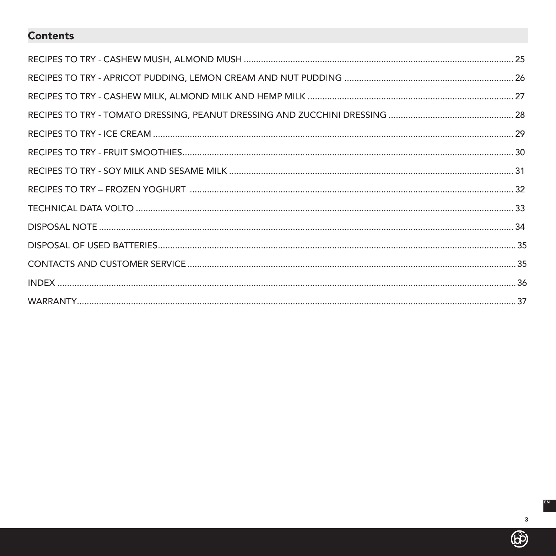# **Contents**

 $\circledB$ 

EN **I**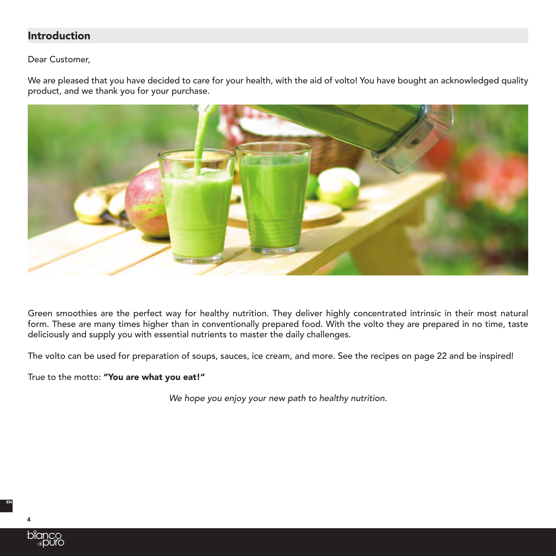# Introduction

Dear Customer,

We are pleased that you have decided to care for your health, with the aid of volto! You have bought an acknowledged quality product, and we thank you for your purchase.



Green smoothies are the perfect way for healthy nutrition. They deliver highly concentrated intrinsic in their most natural form. These are many times higher than in conventionally prepared food. With the volto they are prepared in no time, taste deliciously and supply you with essential nutrients to master the daily challenges.

The volto can be used for preparation of soups, sauces, ice cream, and more. See the recipes on page 22 and be inspired!

True to the motto: "You are what you eat!"

*We hope you enjoy your new path to healthy nutrition.*



4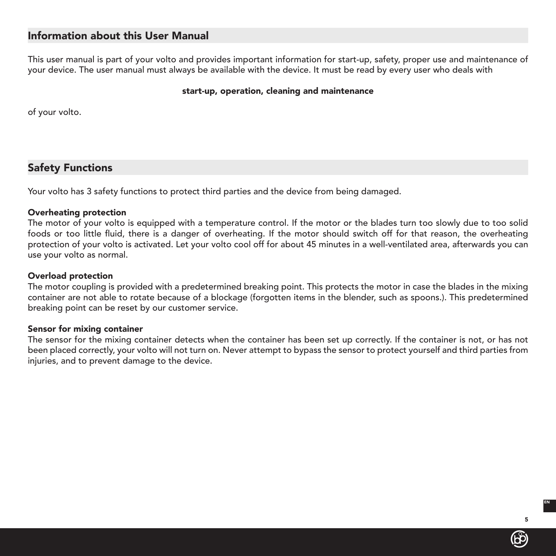# Information about this User Manual

This user manual is part of your volto and provides important information for start-up, safety, proper use and maintenance of your device. The user manual must always be available with the device. It must be read by every user who deals with

#### start-up, operation, cleaning and maintenance

of your volto.

# Safety Functions

Your volto has 3 safety functions to protect third parties and the device from being damaged.

## Overheating protection

The motor of your volto is equipped with a temperature control. If the motor or the blades turn too slowly due to too solid foods or too little fluid, there is a danger of overheating. If the motor should switch off for that reason, the overheating protection of your volto is activated. Let your volto cool off for about 45 minutes in a well-ventilated area, afterwards you can use your volto as normal.

#### Overload protection

The motor coupling is provided with a predetermined breaking point. This protects the motor in case the blades in the mixing container are not able to rotate because of a blockage (forgotten items in the blender, such as spoons.). This predetermined breaking point can be reset by our customer service.

#### Sensor for mixing container

The sensor for the mixing container detects when the container has been set up correctly. If the container is not, or has not been placed correctly, your volto will not turn on. Never attempt to bypass the sensor to protect yourself and third parties from injuries, and to prevent damage to the device.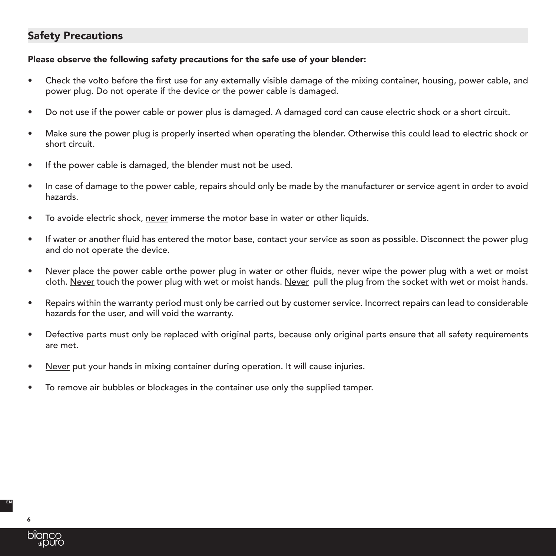# Safety Precautions

## Please observe the following safety precautions for the safe use of your blender:

- Check the volto before the first use for any externally visible damage of the mixing container, housing, power cable, and power plug. Do not operate if the device or the power cable is damaged.
- Do not use if the power cable or power plus is damaged. A damaged cord can cause electric shock or a short circuit.
- Make sure the power plug is properly inserted when operating the blender. Otherwise this could lead to electric shock or short circuit.
- If the power cable is damaged, the blender must not be used.
- In case of damage to the power cable, repairs should only be made by the manufacturer or service agent in order to avoid hazards.
- To avoide electric shock, never immerse the motor base in water or other liquids.
- If water or another fluid has entered the motor base, contact your service as soon as possible. Disconnect the power plug and do not operate the device.
- Never place the power cable orthe power plug in water or other fluids, never wipe the power plug with a wet or moist cloth. Never touch the power plug with wet or moist hands. Never pull the plug from the socket with wet or moist hands.
- Repairs within the warranty period must only be carried out by customer service. Incorrect repairs can lead to considerable hazards for the user, and will void the warranty.
- Defective parts must only be replaced with original parts, because only original parts ensure that all safety requirements are met.
- Never put your hands in mixing container during operation. It will cause injuries.
- To remove air bubbles or blockages in the container use only the supplied tamper.

6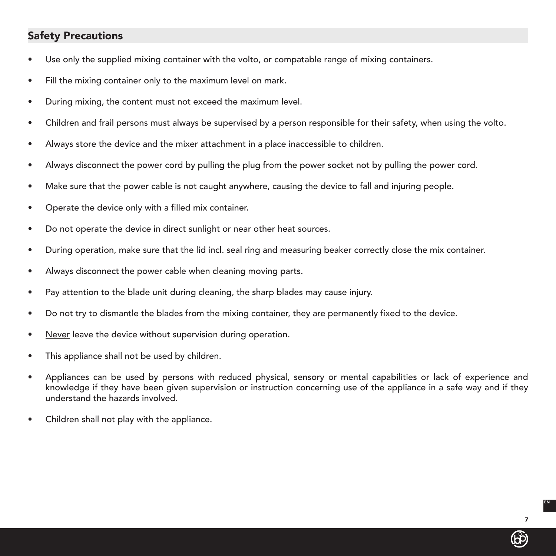# Safety Precautions

- Use only the supplied mixing container with the volto, or compatable range of mixing containers.
- Fill the mixing container only to the maximum level on mark.
- During mixing, the content must not exceed the maximum level.
- Children and frail persons must always be supervised by a person responsible for their safety, when using the volto.
- Always store the device and the mixer attachment in a place inaccessible to children.
- Always disconnect the power cord by pulling the plug from the power socket not by pulling the power cord.
- Make sure that the power cable is not caught anywhere, causing the device to fall and injuring people.
- Operate the device only with a filled mix container.
- Do not operate the device in direct sunlight or near other heat sources.
- During operation, make sure that the lid incl. seal ring and measuring beaker correctly close the mix container.
- Always disconnect the power cable when cleaning moving parts.
- Pay attention to the blade unit during cleaning, the sharp blades may cause injury.
- Do not try to dismantle the blades from the mixing container, they are permanently fixed to the device.
- Never leave the device without supervision during operation.
- This appliance shall not be used by children.
- Appliances can be used by persons with reduced physical, sensory or mental capabilities or lack of experience and knowledge if they have been given supervision or instruction concerning use of the appliance in a safe way and if they understand the hazards involved.
- Children shall not play with the appliance.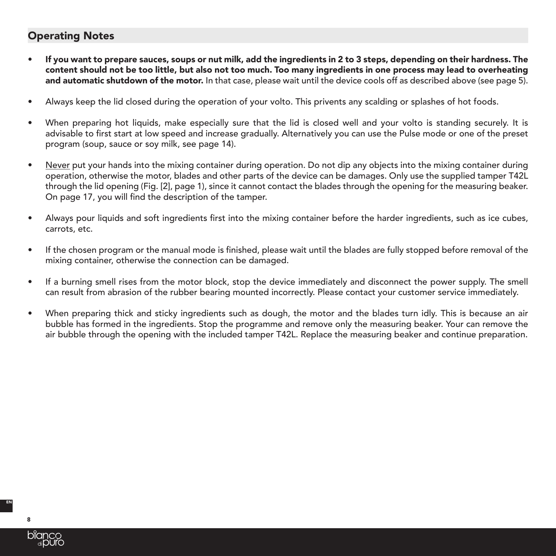# Operating Notes

- If you want to prepare sauces, soups or nut milk, add the ingredients in 2 to 3 steps, depending on their hardness. The content should not be too little, but also not too much. Too many ingredients in one process may lead to overheating and automatic shutdown of the motor. In that case, please wait until the device cools off as described above (see page 5).
- Always keep the lid closed during the operation of your volto. This privents any scalding or splashes of hot foods.
- When preparing hot liquids, make especially sure that the lid is closed well and your volto is standing securely. It is advisable to first start at low speed and increase gradually. Alternatively you can use the Pulse mode or one of the preset program (soup, sauce or soy milk, see page 14).
- Never put your hands into the mixing container during operation. Do not dip any objects into the mixing container during operation, otherwise the motor, blades and other parts of the device can be damages. Only use the supplied tamper T42L through the lid opening (Fig. [2], page 1), since it cannot contact the blades through the opening for the measuring beaker. On page 17, you will find the description of the tamper.
- Always pour liquids and soft ingredients first into the mixing container before the harder ingredients, such as ice cubes, carrots, etc.
- If the chosen program or the manual mode is finished, please wait until the blades are fully stopped before removal of the mixing container, otherwise the connection can be damaged.
- If a burning smell rises from the motor block, stop the device immediately and disconnect the power supply. The smell can result from abrasion of the rubber bearing mounted incorrectly. Please contact your customer service immediately.
- When preparing thick and sticky ingredients such as dough, the motor and the blades turn idly. This is because an air bubble has formed in the ingredients. Stop the programme and remove only the measuring beaker. Your can remove the air bubble through the opening with the included tamper T42L. Replace the measuring beaker and continue preparation.

8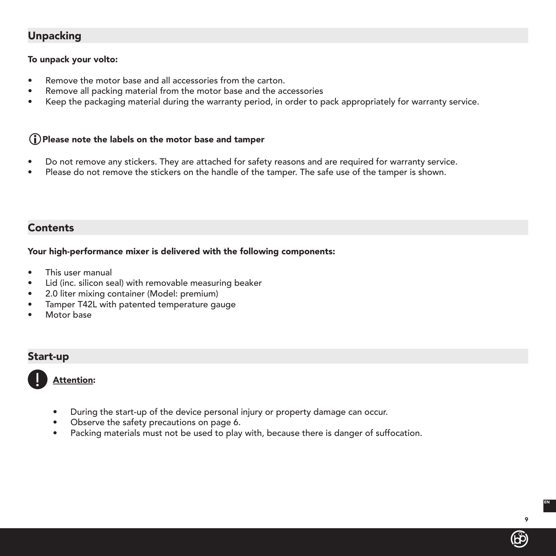# Unpacking

## To unpack your volto:

- Remove the motor base and all accessories from the carton.
- Remove all packing material from the motor base and the accessories
- Keep the packaging material during the warranty period, in order to pack appropriately for warranty service.

## $(i)$  Please note the labels on the motor base and tamper

- Do not remove any stickers. They are attached for safety reasons and are required for warranty service.
- Please do not remove the stickers on the handle of the tamper. The safe use of the tamper is shown.

## Contents

## Your high-performance mixer is delivered with the following components:

- This user manual
- Lid (inc. silicon seal) with removable measuring beaker
- 2.0 liter mixing container (Model: premium)
- Tamper T42L with patented temperature gauge
- Motor base

# Start-up



Attention:

- During the start-up of the device personal injury or property damage can occur.
- Observe the safety precautions on page 6.
- Packing materials must not be used to play with, because there is danger of suffocation.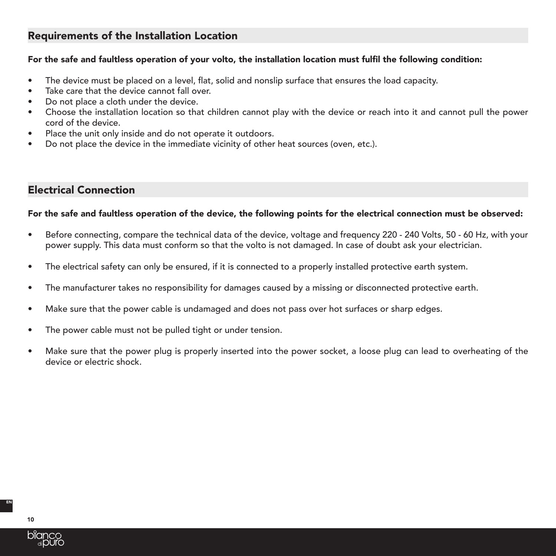# Requirements of the Installation Location

## For the safe and faultless operation of your volto, the installation location must fulfil the following condition:

- The device must be placed on a level, flat, solid and nonslip surface that ensures the load capacity.
- Take care that the device cannot fall over.
- Do not place a cloth under the device.
- Choose the installation location so that children cannot play with the device or reach into it and cannot pull the power cord of the device.
- Place the unit only inside and do not operate it outdoors.
- Do not place the device in the immediate vicinity of other heat sources (oven, etc.).

# Electrical Connection

## For the safe and faultless operation of the device, the following points for the electrical connection must be observed:

- Before connecting, compare the technical data of the device, voltage and frequency 220 240 Volts, 50 60 Hz, with your power supply. This data must conform so that the volto is not damaged. In case of doubt ask your electrician.
- The electrical safety can only be ensured, if it is connected to a properly installed protective earth system.
- The manufacturer takes no responsibility for damages caused by a missing or disconnected protective earth.
- Make sure that the power cable is undamaged and does not pass over hot surfaces or sharp edges.
- The power cable must not be pulled tight or under tension.
- Make sure that the power plug is properly inserted into the power socket, a loose plug can lead to overheating of the device or electric shock.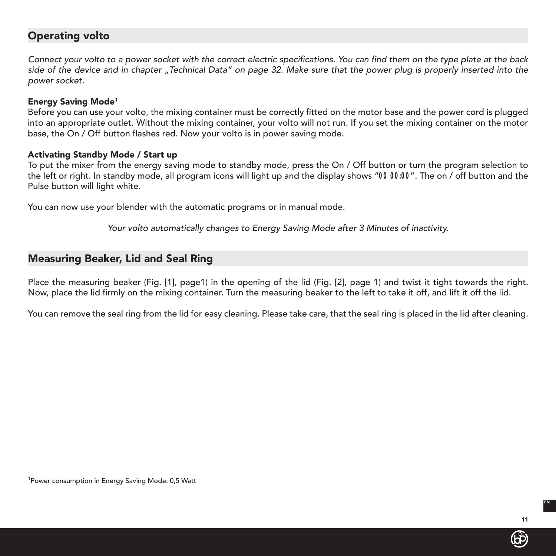# Operating volto

Connect your volto to a power socket with the correct electric specifications. You can find them on the type plate at the back *side of the device and in chapter "Technical Data" on page 32. Make sure that the power plug is properly inserted into the power socket.*

## Energy Saving Mode1

Before you can use your volto, the mixing container must be correctly fitted on the motor base and the power cord is plugged into an appropriate outlet. Without the mixing container, your volto will not run. If you set the mixing container on the motor base, the On / Off button flashes red. Now your volto is in power saving mode.

## Activating Standby Mode / Start up

To put the mixer from the energy saving mode to standby mode, press the On / Off button or turn the program selection to the left or right. In standby mode, all program icons will light up and the display shows "*00 00:00*". The on / off button and the Pulse button will light white.

You can now use your blender with the automatic programs or in manual mode.

Your volto automatically changes to Energy Saving Mode after 3 Minutes of inactivity.

# Measuring Beaker, Lid and Seal Ring

Place the measuring beaker (Fig. [1], page1) in the opening of the lid (Fig. [2], page 1) and twist it tight towards the right. Now, place the lid firmly on the mixing container. Turn the measuring beaker to the left to take it off, and lift it off the lid.

You can remove the seal ring from the lid for easy cleaning. Please take care, that the seal ring is placed in the lid after cleaning.

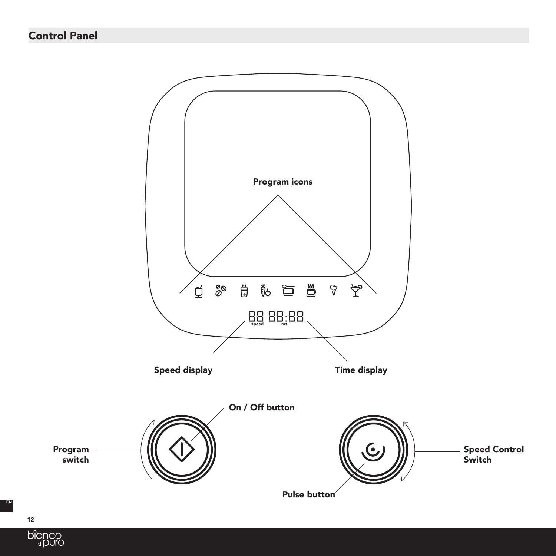



12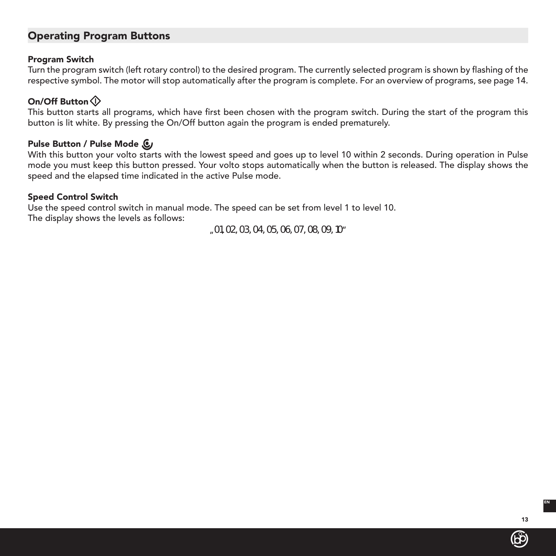# Operating Program Buttons

## Program Switch

Turn the program switch (left rotary control) to the desired program. The currently selected program is shown by flashing of the respective symbol. The motor will stop automatically after the program is complete. For an overview of programs, see page 14.

## On/Off Button

This button starts all programs, which have first been chosen with the program switch. During the start of the program this button is lit white. By pressing the On/Off button again the program is ended prematurely.

## Pulse Button / Pulse Mode  $\mathbb{C}$

With this button your volto starts with the lowest speed and goes up to level 10 within 2 seconds. During operation in Pulse mode you must keep this button pressed. Your volto stops automatically when the button is released. The display shows the speed and the elapsed time indicated in the active Pulse mode.

## Speed Control Switch

Use the speed control switch in manual mode. The speed can be set from level 1 to level 10. The display shows the levels as follows:

"*01, 02, 03, 04, 05, 06, 07, 08, 09, 10*"

(bp)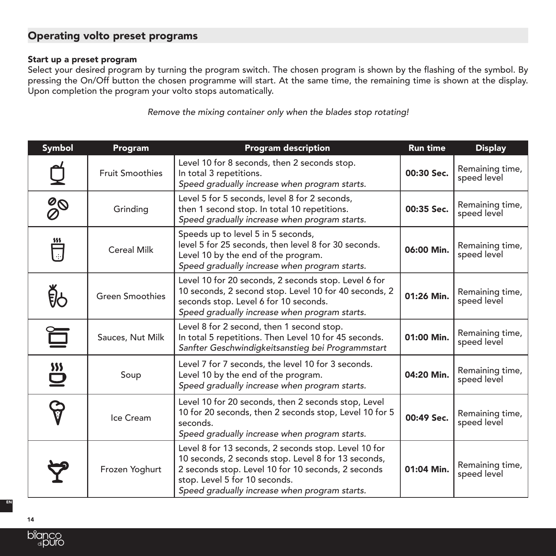# Operating volto preset programs

## Start up a preset program

Select your desired program by turning the program switch. The chosen program is shown by the flashing of the symbol. By pressing the On/Off button the chosen programme will start. At the same time, the remaining time is shown at the display. Upon completion the program your volto stops automatically.

*Remove the mixing container only when the blades stop rotating!*

| <b>Symbol</b>                                     | Program                | <b>Program description</b>                                                                                                                                                                                                                          | <b>Run time</b> | <b>Display</b>                 |
|---------------------------------------------------|------------------------|-----------------------------------------------------------------------------------------------------------------------------------------------------------------------------------------------------------------------------------------------------|-----------------|--------------------------------|
|                                                   | <b>Fruit Smoothies</b> | Level 10 for 8 seconds, then 2 seconds stop.<br>In total 3 repetitions.<br>Speed gradually increase when program starts.                                                                                                                            | 00:30 Sec.      | Remaining time,<br>speed level |
| $\frac{\partial \mathsf{O}}{\partial \mathsf{O}}$ | Grinding               | Level 5 for 5 seconds, level 8 for 2 seconds,<br>then 1 second stop. In total 10 repetitions.<br>Speed gradually increase when program starts.                                                                                                      | 00:35 Sec.      | Remaining time,<br>speed level |
| $\frac{1}{\sqrt{2}}$                              | <b>Cereal Milk</b>     | Speeds up to level 5 in 5 seconds,<br>level 5 for 25 seconds, then level 8 for 30 seconds.<br>Level 10 by the end of the program.<br>Speed gradually increase when program starts.                                                                  | 06:00 Min.      | Remaining time,<br>speed level |
| <u>ge</u>                                         | <b>Green Smoothies</b> | Level 10 for 20 seconds, 2 seconds stop. Level 6 for<br>10 seconds, 2 second stop. Level 10 for 40 seconds, 2<br>seconds stop. Level 6 for 10 seconds.<br>Speed gradually increase when program starts.                                             | 01:26 Min.      | Remaining time,<br>speed level |
|                                                   | Sauces, Nut Milk       | Level 8 for 2 second, then 1 second stop.<br>In total 5 repetitions. Then Level 10 for 45 seconds.<br>Sanfter Geschwindigkeitsanstieg bei Programmstart                                                                                             | 01:00 Min.      | Remaining time,<br>speed level |
| $\sum_{i=1}^{2}$                                  | Soup                   | Level 7 for 7 seconds, the level 10 for 3 seconds.<br>Level 10 by the end of the program.<br>Speed gradually increase when program starts.                                                                                                          | 04:20 Min.      | Remaining time,<br>speed level |
|                                                   | Ice Cream              | Level 10 for 20 seconds, then 2 seconds stop, Level<br>10 for 20 seconds, then 2 seconds stop, Level 10 for 5<br>seconds.<br>Speed gradually increase when program starts.                                                                          | 00:49 Sec.      | Remaining time,<br>speed level |
|                                                   | Frozen Yoghurt         | Level 8 for 13 seconds, 2 seconds stop. Level 10 for<br>10 seconds, 2 seconds stop. Level 8 for 13 seconds,<br>2 seconds stop. Level 10 for 10 seconds, 2 seconds<br>stop. Level 5 for 10 seconds.<br>Speed gradually increase when program starts. | 01:04 Min.      | Remaining time,<br>speed level |

14

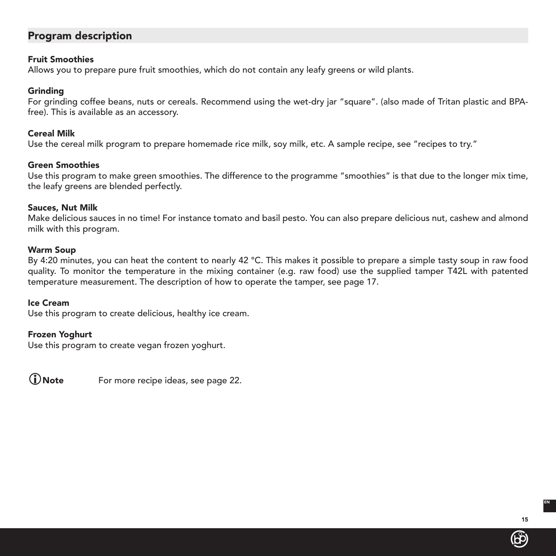# Program description

#### Fruit Smoothies

Allows you to prepare pure fruit smoothies, which do not contain any leafy greens or wild plants.

#### Grinding

For grinding coffee beans, nuts or cereals. Recommend using the wet-dry jar "square". (also made of Tritan plastic and BPAfree). This is available as an accessory.

#### Cereal Milk

Use the cereal milk program to prepare homemade rice milk, soy milk, etc. A sample recipe, see "recipes to try."

#### Green Smoothies

Use this program to make green smoothies. The difference to the programme "smoothies" is that due to the longer mix time, the leafy greens are blended perfectly.

#### Sauces, Nut Milk

Make delicious sauces in no time! For instance tomato and basil pesto. You can also prepare delicious nut, cashew and almond milk with this program.

#### Warm Soup

By 4:20 minutes, you can heat the content to nearly 42 °C. This makes it possible to prepare a simple tasty soup in raw food quality. To monitor the temperature in the mixing container (e.g. raw food) use the supplied tamper T42L with patented temperature measurement. The description of how to operate the tamper, see page 17.

#### Ice Cream

Use this program to create delicious, healthy ice cream.

#### Frozen Yoghurt

Use this program to create vegan frozen yoghurt.

Note For more recipe ideas, see page 22.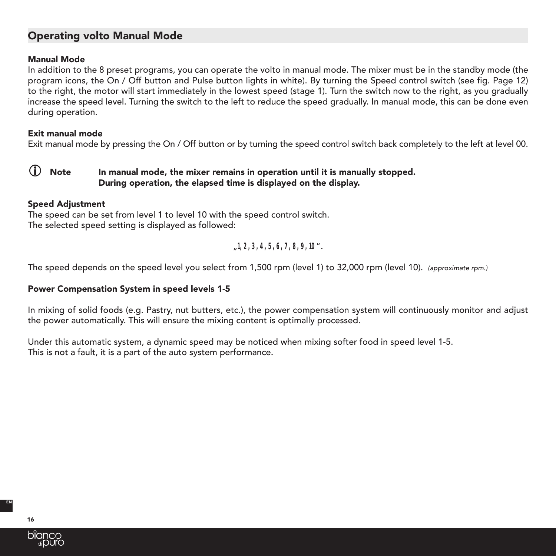# Operating volto Manual Mode

#### Manual Mode

In addition to the 8 preset programs, you can operate the volto in manual mode. The mixer must be in the standby mode (the program icons, the On / Off button and Pulse button lights in white). By turning the Speed control switch (see fig. Page 12) to the right, the motor will start immediately in the lowest speed (stage 1). Turn the switch now to the right, as you gradually increase the speed level. Turning the switch to the left to reduce the speed gradually. In manual mode, this can be done even during operation.

#### Exit manual mode

Exit manual mode by pressing the On / Off button or by turning the speed control switch back completely to the left at level 00.

## $\bf{D}$  Note In manual mode, the mixer remains in operation until it is manually stopped. During operation, the elapsed time is displayed on the display.

#### Speed Adjustment

The speed can be set from level 1 to level 10 with the speed control switch. The selected speed setting is displayed as followed:

"*1, 2, 3, 4, 5, 6, 7, 8, 9, 10*".

The speed depends on the speed level you select from 1,500 rpm (level 1) to 32,000 rpm (level 10). *(approximate rpm.)*

#### Power Compensation System in speed levels 1-5

In mixing of solid foods (e.g. Pastry, nut butters, etc.), the power compensation system will continuously monitor and adjust the power automatically. This will ensure the mixing content is optimally processed.

Under this automatic system, a dynamic speed may be noticed when mixing softer food in speed level 1-5. This is not a fault, it is a part of the auto system performance.

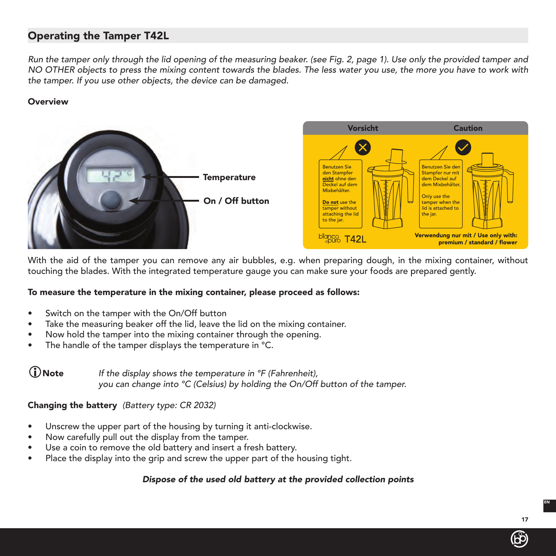# Operating the Tamper T42L

*Run the tamper only through the lid opening of the measuring beaker. (see Fig. 2, page 1). Use only the provided tamper and NO OTHER objects to press the mixing content towards the blades. The less water you use, the more you have to work with the tamper. If you use other objects, the device can be damaged.*

#### **Overview**



With the aid of the tamper you can remove any air bubbles, e.g. when preparing dough, in the mixing container, without touching the blades. With the integrated temperature gauge you can make sure your foods are prepared gently.

#### To measure the temperature in the mixing container, please proceed as follows:

- Switch on the tamper with the On/Off button
- Take the measuring beaker off the lid, leave the lid on the mixing container.
- Now hold the tamper into the mixing container through the opening.
- The handle of the tamper displays the temperature in °C.

Note *If the display shows the temperature in °F (Fahrenheit), you can change into °C (Celsius) by holding the On/Off button of the tamper.*

Changing the battery *(Battery type: CR 2032)*

- Unscrew the upper part of the housing by turning it anti-clockwise.
- Now carefully pull out the display from the tamper.
- Use a coin to remove the old battery and insert a fresh battery.
- Place the display into the grip and screw the upper part of the housing tight.

## *Dispose of the used old battery at the provided collection points*

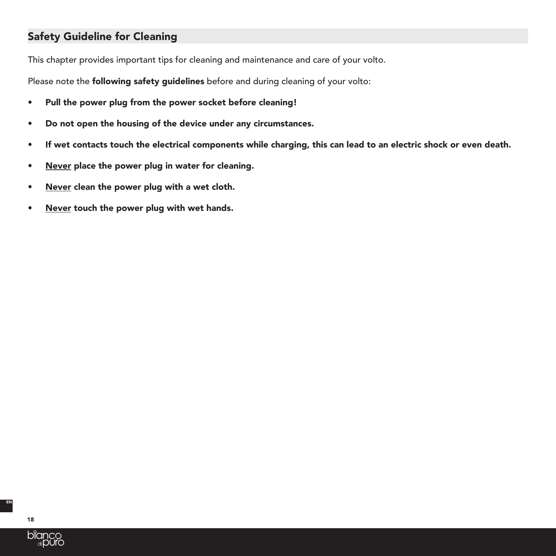# Safety Guideline for Cleaning

This chapter provides important tips for cleaning and maintenance and care of your volto.

Please note the **following safety guidelines** before and during cleaning of your volto:

- Pull the power plug from the power socket before cleaning!
- Do not open the housing of the device under any circumstances.
- If wet contacts touch the electrical components while charging, this can lead to an electric shock or even death.
- Never place the power plug in water for cleaning.
- Never clean the power plug with a wet cloth.
- Never touch the power plug with wet hands.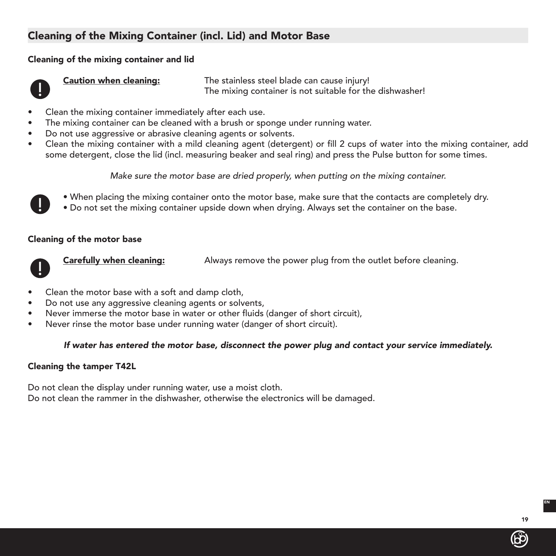# Cleaning of the Mixing Container (incl. Lid) and Motor Base

## Cleaning of the mixing container and lid



Caution when cleaning: The stainless steel blade can cause injury! The mixing container is not suitable for the dishwasher!

- Clean the mixing container immediately after each use.
- The mixing container can be cleaned with a brush or sponge under running water.
- Do not use aggressive or abrasive cleaning agents or solvents.
- Clean the mixing container with a mild cleaning agent (detergent) or fill 2 cups of water into the mixing container, add some detergent, close the lid (incl. measuring beaker and seal ring) and press the Pulse button for some times.

*Make sure the motor base are dried properly, when putting on the mixing container.*



- When placing the mixing container onto the motor base, make sure that the contacts are completely dry.
- Do not set the mixing container upside down when drying. Always set the container on the base.

## Cleaning of the motor base



**Carefully when cleaning:** Always remove the power plug from the outlet before cleaning.

- Clean the motor base with a soft and damp cloth,
- Do not use any aggressive cleaning agents or solvents,
- Never immerse the motor base in water or other fluids (danger of short circuit),
- Never rinse the motor base under running water (danger of short circuit).

## *If water has entered the motor base, disconnect the power plug and contact your service immediately.*

#### Cleaning the tamper T42L

Do not clean the display under running water, use a moist cloth. Do not clean the rammer in the dishwasher, otherwise the electronics will be damaged.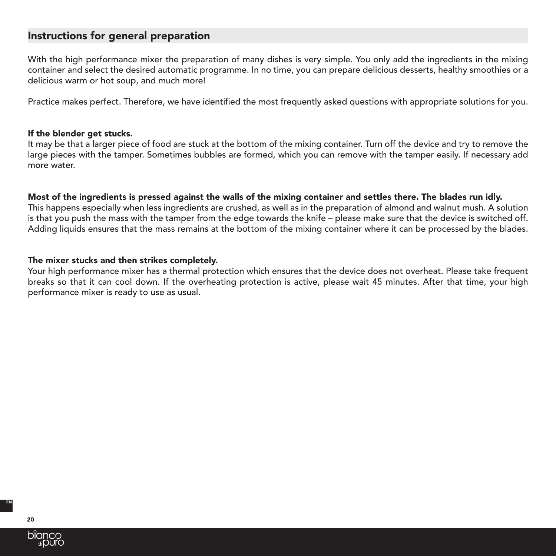# Instructions for general preparation

With the high performance mixer the preparation of many dishes is very simple. You only add the ingredients in the mixing container and select the desired automatic programme. In no time, you can prepare delicious desserts, healthy smoothies or a delicious warm or hot soup, and much more!

Practice makes perfect. Therefore, we have identified the most frequently asked questions with appropriate solutions for you.

#### If the blender get stucks.

It may be that a larger piece of food are stuck at the bottom of the mixing container. Turn off the device and try to remove the large pieces with the tamper. Sometimes bubbles are formed, which you can remove with the tamper easily. If necessary add more water.

#### Most of the ingredients is pressed against the walls of the mixing container and settles there. The blades run idly.

This happens especially when less ingredients are crushed, as well as in the preparation of almond and walnut mush. A solution is that you push the mass with the tamper from the edge towards the knife – please make sure that the device is switched off. Adding liquids ensures that the mass remains at the bottom of the mixing container where it can be processed by the blades.

## The mixer stucks and then strikes completely.

Your high performance mixer has a thermal protection which ensures that the device does not overheat. Please take frequent breaks so that it can cool down. If the overheating protection is active, please wait 45 minutes. After that time, your high performance mixer is ready to use as usual.

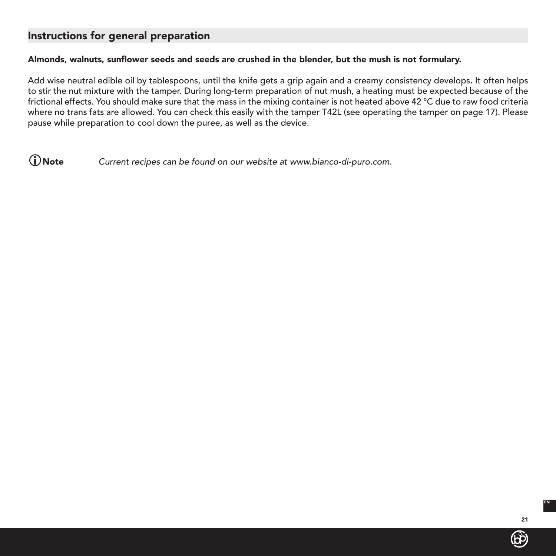# Instructions for general preparation

## Almonds, walnuts, sunflower seeds and seeds are crushed in the blender, but the mush is not formulary.

Add wise neutral edible oil by tablespoons, until the knife gets a grip again and a creamy consistency develops. It often helps to stir the nut mixture with the tamper. During long-term preparation of nut mush, a heating must be expected because of the frictional effects. You should make sure that the mass in the mixing container is not heated above 42 °C due to raw food criteria where no trans fats are allowed. You can check this easily with the tamper T42L (see operating the tamper on page 17). Please pause while preparation to cool down the puree, as well as the device.

Note Current recipes can be found on our website at www.bianco-di-puro.com.

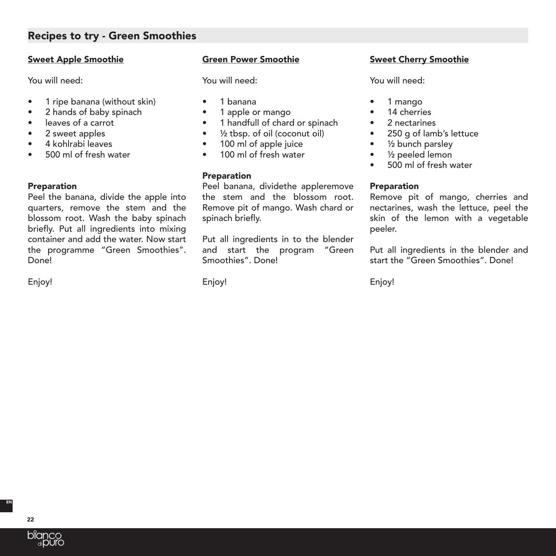# Recipes to try - Green Smoothies

## Sweet Apple Smoothie

You will need:

- 1 ripe banana (without skin)
- 2 hands of baby spinach
- leaves of a carrot
- 2 sweet apples
- 4 kohlrabi leaves
- 500 ml of fresh water

## **Preparation**

Peel the banana, divide the apple into quarters, remove the stem and the blossom root. Wash the baby spinach briefly. Put all ingredients into mixing container and add the water. Now start the programme "Green Smoothies". Done<sup>l</sup>

Enjoy!

## Green Power Smoothie

You will need:

- 1 banana
- 1 apple or mango
- 1 handfull of chard or spinach
- $\bullet$   $\frac{1}{2}$  tbsp. of oil (coconut oil)
- 100 ml of apple juice
- 100 ml of fresh water

## **Preparation**

Peel banana, dividethe appleremove the stem and the blossom root. Remove pit of mango. Wash chard or spinach briefly.

Put all ingredients in to the blender and start the program "Green Smoothies". Done!

Enjoy!

## Sweet Cherry Smoothie

You will need:

- 1 mango
- 14 cherries
- 2 nectarines
- 250 g of lamb's lettuce
- 1/2 bunch parsley
- ½ peeled lemon
- 500 ml of fresh water

## Preparation

Remove pit of mango, cherries and nectarines, wash the lettuce, peel the skin of the lemon with a vegetable peeler.

Put all ingredients in the blender and start the "Green Smoothies". Done!

Enjoy!

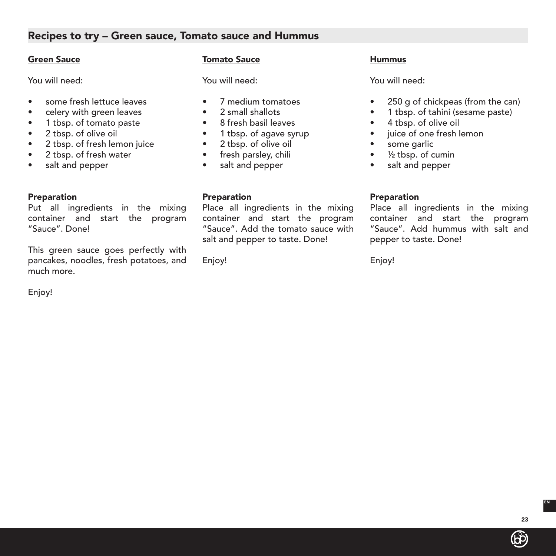# Recipes to try – Green sauce, Tomato sauce and Hummus

## Green Sauce

You will need:

- some fresh lettuce leaves
- celery with green leaves
- 1 tbsp. of tomato paste
- 2 tbsp. of olive oil
- 2 tbsp. of fresh lemon juice
- 2 tbsp. of fresh water
- salt and pepper

## **Preparation**

Put all ingredients in the mixing container and start the program "Sauce". Done!

This green sauce goes perfectly with pancakes, noodles, fresh potatoes, and much more.

Enjoy!

## Tomato Sauce

You will need:

- 7 medium tomatoes
- 2 small shallots
- 8 fresh basil leaves
- 1 tbsp. of agave syrup
- 2 tbsp. of olive oil
- fresh parsley, chili
- salt and pepper

## Preparation

Place all ingredients in the mixing container and start the program "Sauce". Add the tomato sauce with salt and pepper to taste. Done!

Enjoy!

## **Hummus**

You will need:

- 250 g of chickpeas (from the can)
- 1 tbsp. of tahini (sesame paste)
- 4 tbsp. of olive oil
- juice of one fresh lemon
- some garlic
- ½ tbsp. of cumin
- salt and pepper

## Preparation

Place all ingredients in the mixing container and start the program "Sauce". Add hummus with salt and pepper to taste. Done!

Enjoy!

EN



23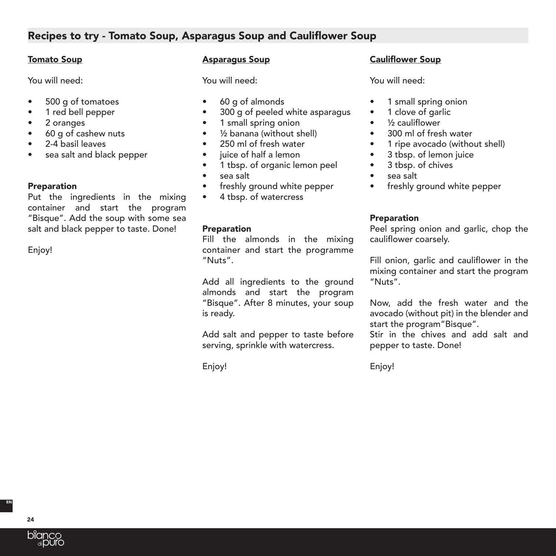# Recipes to try - Tomato Soup, Asparagus Soup and Cauliflower Soup

## Tomato Soup

You will need:

- 500 g of tomatoes
- 1 red bell pepper
- 2 oranges
- 60 g of cashew nuts
- 2-4 basil leaves
- sea salt and black pepper

## **Preparation**

Put the ingredients in the mixing container and start the program "Bisque". Add the soup with some sea salt and black pepper to taste. Done!

Enjoy!

## Asparagus Soup

You will need:

- 60 g of almonds
- 300 g of peeled white asparagus
- 1 small spring onion
- ½ banana (without shell)
- 250 ml of fresh water
- juice of half a lemon
- 1 tbsp. of organic lemon peel
- sea salt
- freshly ground white pepper
- 4 tbsp. of watercress

## Preparation

Fill the almonds in the mixing container and start the programme "Nuts".

Add all ingredients to the ground almonds and start the program "Bisque". After 8 minutes, your soup is ready.

Add salt and pepper to taste before serving, sprinkle with watercress.

Enjoy!

# Cauliflower Soup

You will need:

- 1 small spring onion
- 1 clove of garlic
- ½ cauliflower
- 300 ml of fresh water
- 1 ripe avocado (without shell)
- 3 tbsp. of lemon juice
- 3 tbsp. of chives
- sea salt
- freshly ground white pepper

## **Preparation**

Peel spring onion and garlic, chop the cauliflower coarsely.

Fill onion, garlic and cauliflower in the mixing container and start the program "Nuts".

Now, add the fresh water and the avocado (without pit) in the blender and start the program"Bisque".

Stir in the chives and add salt and pepper to taste. Done!

Enjoy!

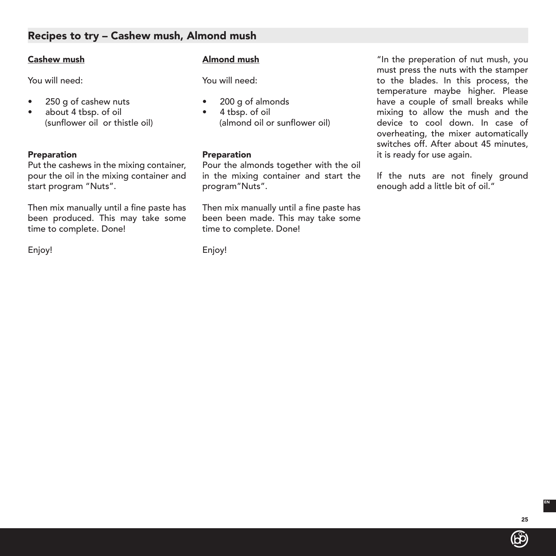# Recipes to try – Cashew mush, Almond mush

#### Cashew mush

You will need:

- 250 g of cashew nuts
- about 4 tbsp. of oil (sunflower oil or thistle oil)

#### Preparation

Put the cashews in the mixing container, pour the oil in the mixing container and start program "Nuts".

Then mix manually until a fine paste has been produced. This may take some time to complete. Done!

Enjoy!

## Almond mush

You will need:

- 200 g of almonds
- 4 tbsp. of oil (almond oil or sunflower oil)

#### Preparation

Pour the almonds together with the oil in the mixing container and start the program"Nuts".

Then mix manually until a fine paste has been been made. This may take some time to complete. Done!

Enjoy!

"In the preperation of nut mush, you must press the nuts with the stamper to the blades. In this process, the temperature maybe higher. Please have a couple of small breaks while mixing to allow the mush and the device to cool down. In case of overheating, the mixer automatically switches off. After about 45 minutes, it is ready for use again.

If the nuts are not finely ground enough add a little bit of oil."

(bp)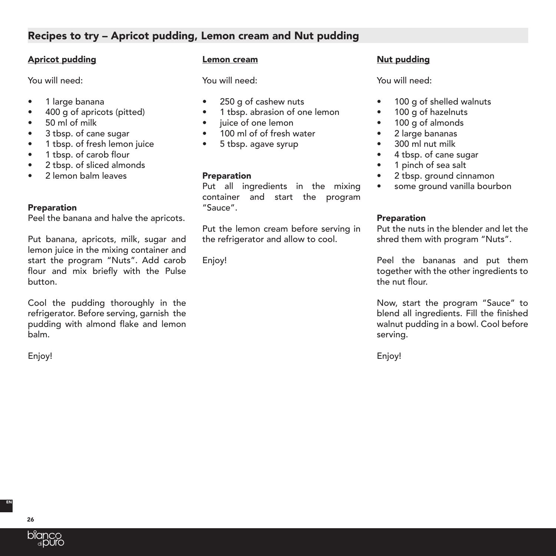# Recipes to try – Apricot pudding, Lemon cream and Nut pudding

#### Apricot pudding

You will need:

- 1 large banana
- 400 g of apricots (pitted)
- 50 ml of milk
- 3 tbsp. of cane sugar
- 1 tbsp. of fresh lemon juice
- 1 tbsp. of carob flour
- 2 tbsp. of sliced almonds
- 2 lemon balm leaves

#### **Preparation**

Peel the banana and halve the apricots.

Put banana, apricots, milk, sugar and lemon juice in the mixing container and start the program "Nuts". Add carob flour and mix briefly with the Pulse button.

Cool the pudding thoroughly in the refrigerator. Before serving, garnish the pudding with almond flake and lemon balm.

Enjoy!

#### Lemon cream

You will need:

- 250 g of cashew nuts
- 1 tbsp. abrasion of one lemon
- iuice of one lemon
- 100 ml of of fresh water
- 5 tbsp. agave syrup

#### **Preparation**

Put all ingredients in the mixing container and start the program "Sauce".

Put the lemon cream before serving in the refrigerator and allow to cool.

Enjoy!

# Nut pudding

You will need:

- 100 g of shelled walnuts
- 100 g of hazelnuts
- 100 g of almonds
- 2 large bananas
- 300 ml nut milk
- 4 tbsp. of cane sugar
- 1 pinch of sea salt
- 2 tbsp. ground cinnamon
- some ground vanilla bourbon

#### Preparation

Put the nuts in the blender and let the shred them with program "Nuts".

Peel the bananas and put them together with the other ingredients to the nut flour.

Now, start the program "Sauce" to blend all ingredients. Fill the finished walnut pudding in a bowl. Cool before serving.

Enjoy!



26

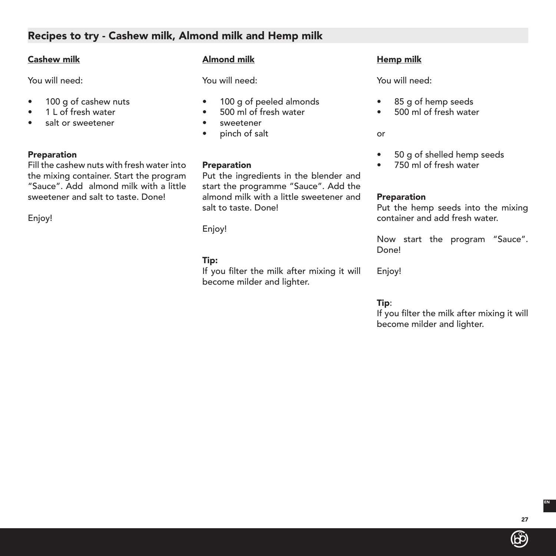# Recipes to try - Cashew milk, Almond milk and Hemp milk

## Cashew milk

You will need:

- 100 g of cashew nuts
- 1 L of fresh water
- salt or sweetener

## **Preparation**

Fill the cashew nuts with fresh water into the mixing container. Start the program "Sauce". Add almond milk with a little sweetener and salt to taste. Done!

Enjoy!

## Almond milk

You will need:

- 100 g of peeled almonds
- 500 ml of fresh water
- sweetener
- pinch of salt

## Preparation

Put the ingredients in the blender and start the programme "Sauce". Add the almond milk with a little sweetener and salt to taste. Done!

Enjoy!

## Tip:

If you filter the milk after mixing it will become milder and lighter.

# Hemp milk

You will need:

- 85 g of hemp seeds
- 500 ml of fresh water

or

- 50 g of shelled hemp seeds
- 750 ml of fresh water

## Preparation

Put the hemp seeds into the mixing container and add fresh water.

Now start the program "Sauce". Done!

Enjoy!

# Tip:

If you filter the milk after mixing it will become milder and lighter.

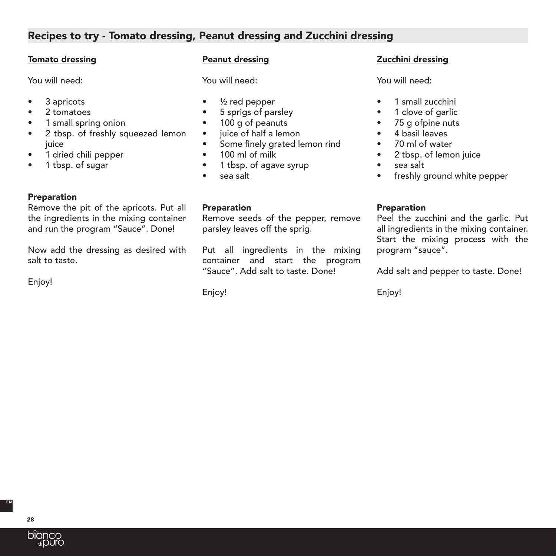# Recipes to try - Tomato dressing, Peanut dressing and Zucchini dressing

## Tomato dressing

You will need:

- 3 apricots
- 2 tomatoes
- 1 small spring onion
- 2 tbsp. of freshly squeezed lemon iuice
- 1 dried chili pepper
- 1 tbsp. of sugar

**Preparation** Remove the pit of the apricots. Put all the ingredients in the mixing container and run the program "Sauce". Done!

Now add the dressing as desired with salt to taste.

Enjoy!

## Peanut dressing

You will need:

- ½ red pepper
- 5 sprigs of parsley
- 100 g of peanuts
- juice of half a lemon
- Some finely grated lemon rind
- 100 ml of milk
- 1 tbsp. of agave syrup
- sea salt

## Preparation

Remove seeds of the pepper, remove parsley leaves off the sprig.

Put all ingredients in the mixing container and start the program "Sauce". Add salt to taste. Done!

Enjoy!

# Zucchini dressing

You will need:

- 1 small zucchini
- 1 clove of garlic
- 75 g ofpine nuts
- 4 basil leaves
- 70 ml of water
- 2 tbsp. of lemon juice
- sea salt
- freshly ground white pepper

## Preparation

Peel the zucchini and the garlic. Put all ingredients in the mixing container. Start the mixing process with the program "sauce".

Add salt and pepper to taste. Done!

Enjoy!

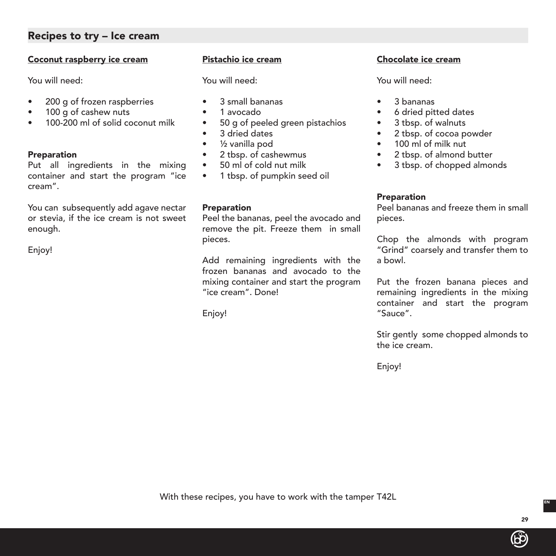# Recipes to try – Ice cream

## Coconut raspberry ice cream

You will need:

- 200 g of frozen raspberries
- 100 g of cashew nuts
- 100-200 ml of solid coconut milk

#### **Preparation**

Put all ingredients in the mixing container and start the program "ice cream".

You can subsequently add agave nectar or stevia, if the ice cream is not sweet enough.

Enjoy!

## Pistachio ice cream

You will need:

- 3 small bananas
- 1 avocado
- 50 g of peeled green pistachios
- 3 dried dates
- ½ vanilla pod
- 2 tbsp. of cashewmus
- 50 ml of cold nut milk
- 1 tbsp. of pumpkin seed oil

#### Preparation

Peel the bananas, peel the avocado and remove the pit. Freeze them in small pieces.

Add remaining ingredients with the frozen bananas and avocado to the mixing container and start the program "ice cream". Done!

Enjoy!

## Chocolate ice cream

You will need:

- 3 bananas
- 6 dried pitted dates
- 3 tbsp. of walnuts
- 2 tbsp. of cocoa powder
- 100 ml of milk nut
- 2 tbsp. of almond butter
- 3 tbsp. of chopped almonds

## **Preparation**

Peel bananas and freeze them in small pieces.

Chop the almonds with program "Grind" coarsely and transfer them to a bowl.

Put the frozen banana pieces and remaining ingredients in the mixing container and start the program "Sauce".

Stir gently some chopped almonds to the ice cream.

Enjoy!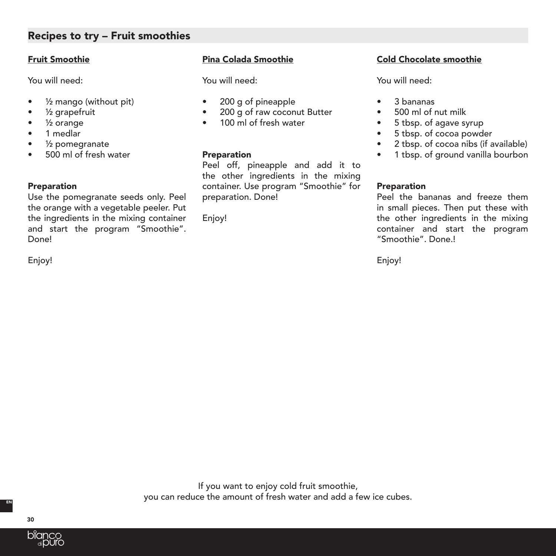# Recipes to try – Fruit smoothies

## Fruit Smoothie

You will need:

- ½ mango (without pit)
- ½ grapefruit
- ½ orange
- 1 medlar
- ½ pomegranate
- 500 ml of fresh water

## Preparation

Use the pomegranate seeds only. Peel the orange with a vegetable peeler. Put the ingredients in the mixing container and start the program "Smoothie". Done!

Enjoy!

## Pina Colada Smoothie

You will need:

- 200 g of pineapple
- 200 g of raw coconut Butter
- 100 ml of fresh water

## Preparation

Peel off, pineapple and add it to the other ingredients in the mixing container. Use program "Smoothie" for preparation. Done!

Enjoy!

## Cold Chocolate smoothie

You will need:

- 3 bananas
- 500 ml of nut milk
- 5 tbsp. of agave syrup
- 5 tbsp. of cocoa powder
- 2 tbsp. of cocoa nibs (if available)
- 1 tbsp. of ground vanilla bourbon

## Preparation

Peel the bananas and freeze them in small pieces. Then put these with the other ingredients in the mixing container and start the program "Smoothie". Done.!

Enjoy!

If you want to enjoy cold fruit smoothie, you can reduce the amount of fresh water and add a few ice cubes.

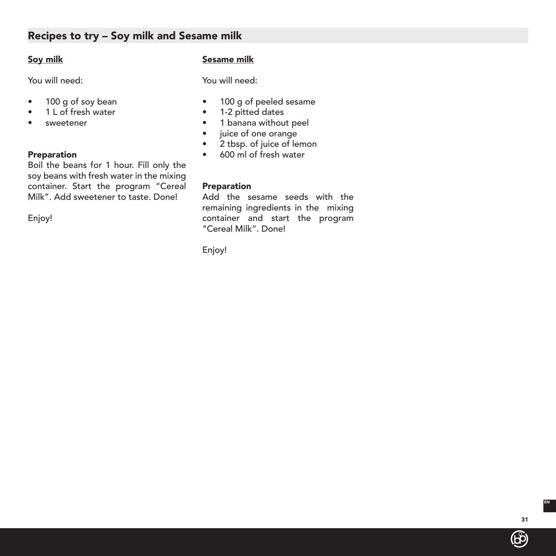# Recipes to try – Soy milk and Sesame milk

## Soy milk

You will need:

- 100 g of soy bean
- 1 L of fresh water
- sweetener

#### Preparation

Boil the beans for 1 hour. Fill only the soy beans with fresh water in the mixing container. Start the program "Cereal Milk". Add sweetener to taste. Done!

Enjoy!

## Sesame milk

You will need:

- 100 g of peeled sesame
- 1-2 pitted dates
- 1 banana without peel
- juice of one orange
- 2 tbsp. of juice of lemon
- 600 ml of fresh water

## Preparation

Add the sesame seeds with the remaining ingredients in the mixing container and start the program "Cereal Milk". Done!

Enjoy!

(රට)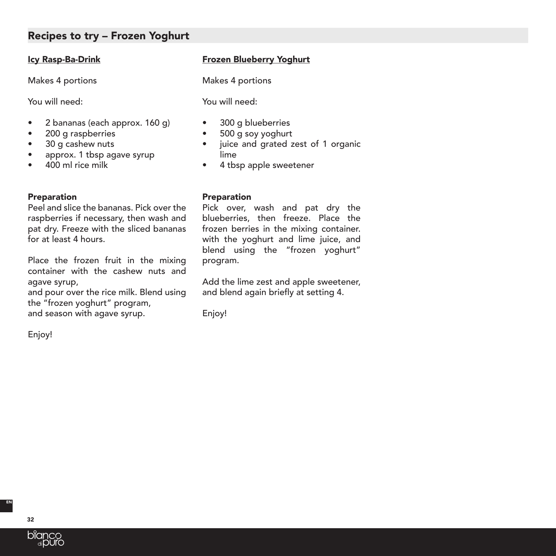# Recipes to try – Frozen Yoghurt

## Icy Rasp-Ba-Drink

Makes 4 portions

You will need:

- 2 bananas (each approx. 160 g)
- 200 g raspberries
- 30 g cashew nuts
- approx. 1 tbsp agave syrup
- 400 ml rice milk

#### **Preparation**

Peel and slice the bananas. Pick over the raspberries if necessary, then wash and pat dry. Freeze with the sliced bananas for at least 4 hours.

Place the frozen fruit in the mixing container with the cashew nuts and agave syrup,

and pour over the rice milk. Blend using the "frozen yoghurt" program, and season with agave syrup.

Enjoy!

## Frozen Blueberry Yoghurt

Makes 4 portions

You will need:

- 300 g blueberries
- 500 g soy yoghurt
- juice and grated zest of 1 organic lime
- 4 tbsp apple sweetener

#### Preparation

Pick over, wash and pat dry the blueberries, then freeze. Place the frozen berries in the mixing container. with the yoghurt and lime juice, and blend using the "frozen yoghurt" program.

Add the lime zest and apple sweetener, and blend again briefly at setting 4.

Enjoy!

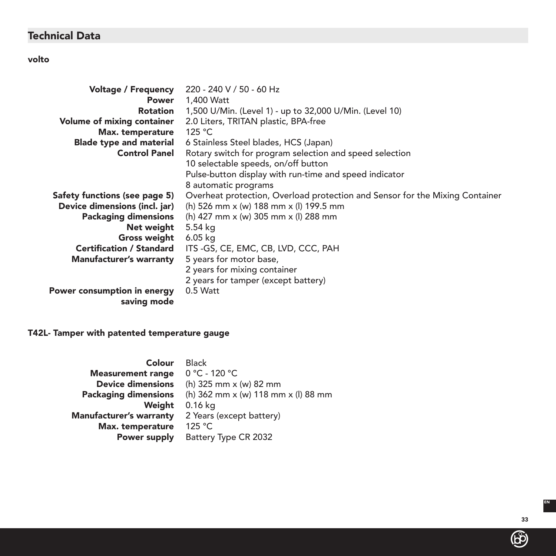# Technical Data

# volto

| <b>Voltage / Frequency</b>      | 220 - 240 V / 50 - 60 Hz                                                     |
|---------------------------------|------------------------------------------------------------------------------|
| Power                           | 1,400 Watt                                                                   |
| Rotation                        | 1,500 U/Min. (Level 1) - up to 32,000 U/Min. (Level 10)                      |
| Volume of mixing container      | 2.0 Liters, TRITAN plastic, BPA-free                                         |
| Max. temperature                | 125 °C                                                                       |
| <b>Blade type and material</b>  | 6 Stainless Steel blades, HCS (Japan)                                        |
| <b>Control Panel</b>            | Rotary switch for program selection and speed selection                      |
|                                 | 10 selectable speeds, on/off button                                          |
|                                 | Pulse-button display with run-time and speed indicator                       |
|                                 | 8 automatic programs                                                         |
| Safety functions (see page 5)   | Overheat protection, Overload protection and Sensor for the Mixing Container |
| Device dimensions (incl. jar)   | (h) 526 mm x (w) 188 mm x (l) 199.5 mm                                       |
| <b>Packaging dimensions</b>     | (h) 427 mm x (w) 305 mm x (l) 288 mm                                         |
| Net weight                      | 5.54 kg                                                                      |
| Gross weight                    | 6.05 kg                                                                      |
| <b>Certification / Standard</b> | ITS -GS, CE, EMC, CB, LVD, CCC, PAH                                          |
| <b>Manufacturer's warranty</b>  | 5 years for motor base,                                                      |
|                                 | 2 years for mixing container                                                 |
|                                 | 2 years for tamper (except battery)                                          |
| Power consumption in energy     | 0.5 Watt                                                                     |
| saving mode                     |                                                                              |
|                                 |                                                                              |

# T42L- Tamper with patented temperature gauge

| Colour                         | <b>Black</b>                        |
|--------------------------------|-------------------------------------|
| <b>Measurement range</b>       | $0 °C - 120 °C$                     |
| <b>Device dimensions</b>       | (h) 325 mm x (w) 82 mm              |
| <b>Packaging dimensions</b>    | (h) 362 mm x (w) 118 mm x (l) 88 mm |
| Weight                         | 0.16 kg                             |
| <b>Manufacturer's warranty</b> | 2 Years (except battery)            |
| Max. temperature               | 125 °C                              |
| Power supply                   | Battery Type CR 2032                |

33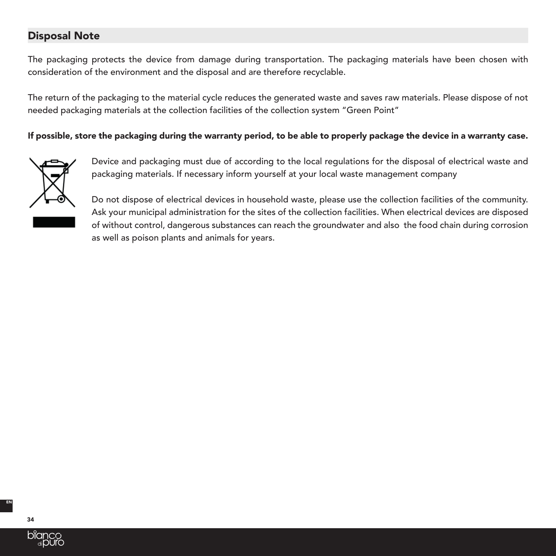# Disposal Note

The packaging protects the device from damage during transportation. The packaging materials have been chosen with consideration of the environment and the disposal and are therefore recyclable.

The return of the packaging to the material cycle reduces the generated waste and saves raw materials. Please dispose of not needed packaging materials at the collection facilities of the collection system "Green Point"

## If possible, store the packaging during the warranty period, to be able to properly package the device in a warranty case.



Device and packaging must due of according to the local regulations for the disposal of electrical waste and packaging materials. If necessary inform yourself at your local waste management company

Do not dispose of electrical devices in household waste, please use the collection facilities of the community. Ask your municipal administration for the sites of the collection facilities. When electrical devices are disposed of without control, dangerous substances can reach the groundwater and also the food chain during corrosion as well as poison plants and animals for years.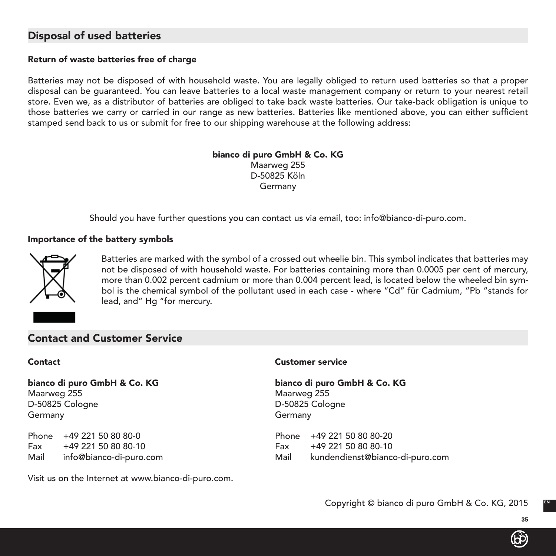# Disposal of used batteries

## Return of waste batteries free of charge

Batteries may not be disposed of with household waste. You are legally obliged to return used batteries so that a proper disposal can be guaranteed. You can leave batteries to a local waste management company or return to your nearest retail store. Even we, as a distributor of batteries are obliged to take back waste batteries. Our take-back obligation is unique to those batteries we carry or carried in our range as new batteries. Batteries like mentioned above, you can either sufficient stamped send back to us or submit for free to our shipping warehouse at the following address:

> bianco di puro GmbH & Co. KG Maarweg 255 D-50825 Köln Germany

Should you have further questions you can contact us via email, too: info@bianco-di-puro.com.

#### Importance of the battery symbols



Batteries are marked with the symbol of a crossed out wheelie bin. This symbol indicates that batteries may not be disposed of with household waste. For batteries containing more than 0.0005 per cent of mercury, more than 0.002 percent cadmium or more than 0.004 percent lead, is located below the wheeled bin symbol is the chemical symbol of the pollutant used in each case - where "Cd" für Cadmium, "Pb "stands for lead, and" Hg "for mercury.

## Contact and Customer Service

# Maarweg 255 Maarweg 255 D-50825 Cologne D-50825 Cologne Germany Germany

Phone +49 221 50 80 80-0 Phone +49 221 50 80 80-20 Fax +49 221 50 80 80-10 Fax +49 221 50 80 80-10

#### Contact Customer service

bianco di puro GmbH & Co. KG bianco di puro GmbH & Co. KG

Mail info@bianco-di-puro.com Mail kundendienst@bianco-di-puro.com

Visit us on the Internet at www.bianco-di-puro.com.

35

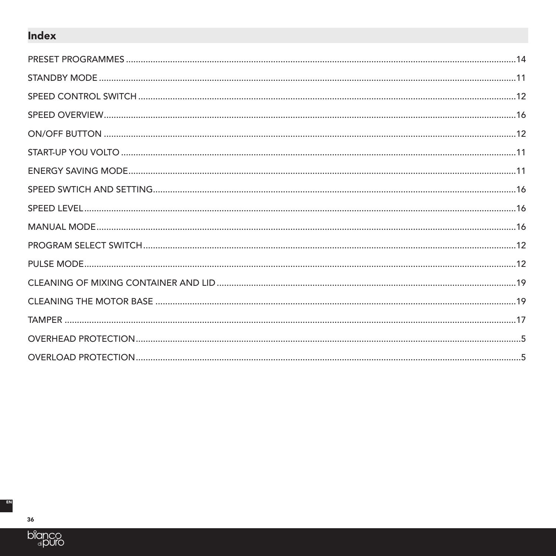# **Index**

36